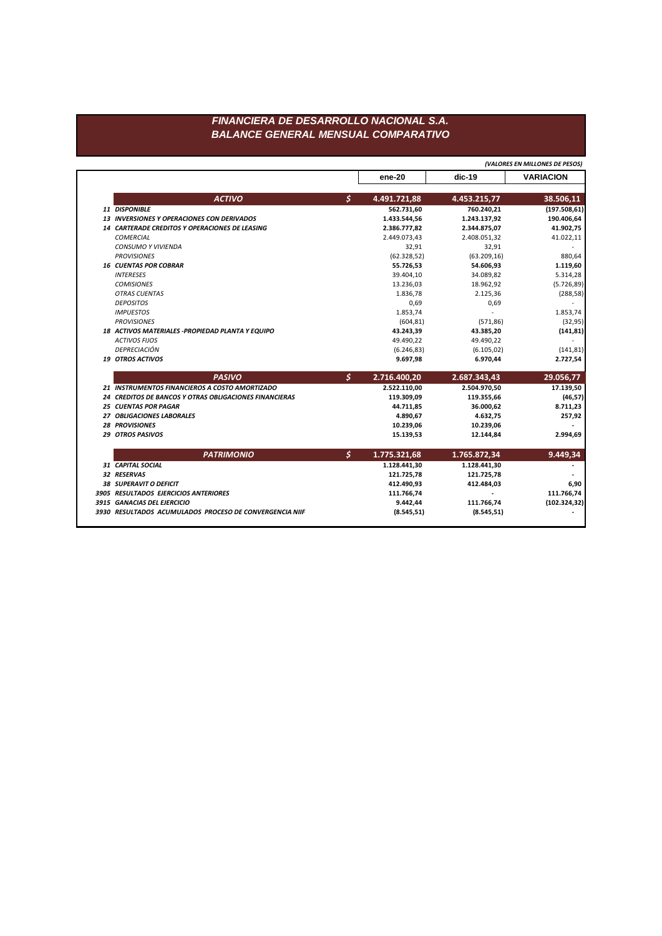## FINANCIERA DE DESARROLLO NACIONAL S.A. **BALANCE GENERAL MENSUAL COMPARATIVO**

|                                                        |    | (VALORES EN MILLONES DE PESOS) |              |                             |
|--------------------------------------------------------|----|--------------------------------|--------------|-----------------------------|
|                                                        |    | ene-20                         | dic-19       | <b>VARIACION</b>            |
| <b>ACTIVO</b>                                          | Š. | 4.491.721,88                   | 4.453.215,77 | 38.506,11                   |
| <b>11 DISPONIBLE</b>                                   |    | 562.731,60                     | 760.240,21   | (197.508, 61)               |
| 13 INVERSIONES Y OPERACIONES CON DERIVADOS             |    | 1.433.544,56                   | 1.243.137,92 | 190.406,64                  |
| 14 CARTERADE CREDITOS Y OPERACIONES DE LEASING         |    | 2.386.777,82                   | 2.344.875,07 | 41.902,75                   |
| <b>COMERCIAL</b>                                       |    | 2.449.073,43                   | 2.408.051,32 | 41.022,11                   |
| CONSUMO Y VIVIENDA                                     |    | 32,91                          | 32,91        |                             |
| <b>PROVISIONES</b>                                     |    | (62.328, 52)                   | (63.209, 16) | 880,64                      |
| <b>16 CUENTAS POR COBRAR</b>                           |    | 55.726,53                      | 54.606,93    | 1.119,60                    |
| <b>INTERESES</b>                                       |    | 39.404,10                      | 34.089,82    | 5.314,28                    |
| <b>COMISIONES</b>                                      |    | 13.236,03                      | 18.962,92    | (5.726, 89)                 |
| <b>OTRAS CUENTAS</b>                                   |    | 1.836,78                       | 2.125,36     | (288, 58)                   |
| <b>DEPOSITOS</b>                                       |    | 0,69                           | 0,69         |                             |
| <b>IMPUESTOS</b>                                       |    | 1.853,74                       |              | 1.853,74                    |
| <b>PROVISIONES</b>                                     |    | (604, 81)                      | (571, 86)    | (32, 95)                    |
| 18 ACTIVOS MATERIALES - PROPIEDAD PLANTA Y EQUIPO      |    | 43.243,39                      | 43.385,20    | (141, 81)                   |
| <b>ACTIVOS FIJOS</b>                                   |    | 49.490,22                      | 49.490,22    |                             |
| <b>DEPRECIACIÓN</b>                                    |    | (6.246, 83)                    | (6.105, 02)  | (141, 81)                   |
| <b>19 OTROS ACTIVOS</b>                                |    | 9.697,98                       | 6.970,44     | 2.727,54                    |
| <b>PASIVO</b>                                          | \$ | 2.716.400,20                   | 2.687.343,43 | 29.056,77                   |
| 21 INSTRUMENTOS FINANCIEROS A COSTO AMORTIZADO         |    | 2.522.110,00                   | 2.504.970,50 | 17.139,50                   |
| 24 CREDITOS DE BANCOS Y OTRAS OBLIGACIONES FINANCIERAS |    | 119.309,09                     | 119.355,66   | (46, 57)                    |
| <b>25 CUENTAS POR PAGAR</b>                            |    | 44.711,85                      | 36.000,62    | 8.711,23                    |
| 27 OBLIGACIONES LABORALES                              |    | 4.890,67                       | 4.632,75     | 257,92                      |
| <b>28 PROVISIONES</b>                                  |    | 10.239,06                      | 10.239,06    |                             |
| <b>29 OTROS PASIVOS</b>                                |    | 15.139,53                      | 12.144,84    | 2.994,69                    |
| <b>PATRIMONIO</b>                                      | \$ | 1.775.321,68                   | 1.765.872,34 | 9.449,34                    |
| 31 CAPITAL SOCIAL                                      |    | 1.128.441,30                   | 1.128.441,30 |                             |
| 32 RESERVAS                                            |    | 121.725,78                     | 121.725,78   |                             |
| <b>38 SUPERAVIT O DEFICIT</b>                          |    | 412.490,93                     | 412.484,03   | 6,90                        |
|                                                        |    |                                |              |                             |
| 3905 RESULTADOS EJERCICIOS ANTERIORES                  |    | 111.766,74                     |              |                             |
| 3915 GANACIAS DEL EJERCICIO                            |    | 9.442,44                       | 111.766,74   | 111.766,74<br>(102.324, 32) |